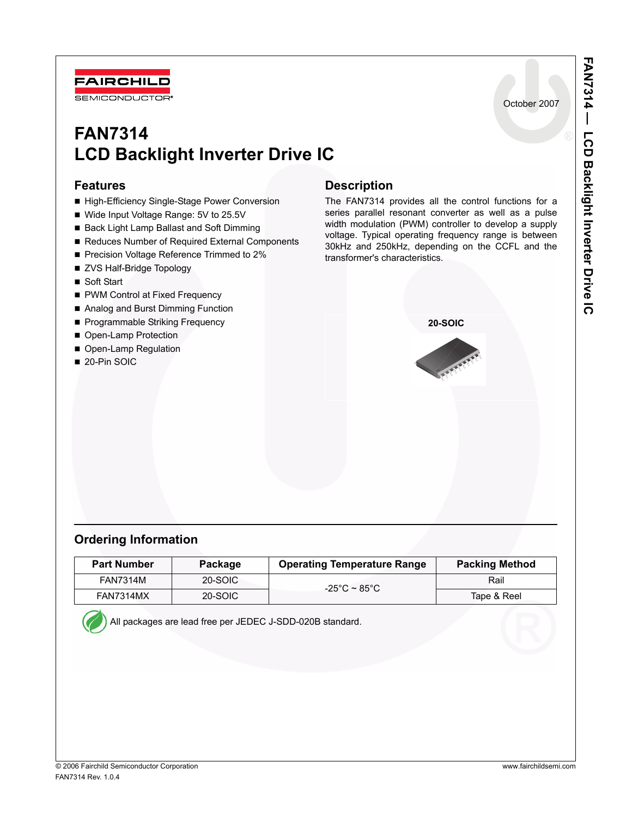

# **FAN7314 LCD Backlight Inverter Drive IC**

### **Features**

- High-Efficiency Single-Stage Power Conversion
- Wide Input Voltage Range: 5V to 25.5V
- Back Light Lamp Ballast and Soft Dimming
- Reduces Number of Required External Components
- Precision Voltage Reference Trimmed to 2%
- ZVS Half-Bridge Topology
- Soft Start
- PWM Control at Fixed Frequency
- Analog and Burst Dimming Function
- Programmable Striking Frequency
- Open-Lamp Protection
- Open-Lamp Regulation
- 20-Pin SOIC

## **Description**

The FAN7314 provides all the control functions for a series parallel resonant converter as well as a pulse width modulation (PWM) controller to develop a supply voltage. Typical operating frequency range is between 30kHz and 250kHz, depending on the CCFL and the transformer's characteristics.



### **Ordering Information**

| <b>Part Number</b> | Package | <b>Operating Temperature Range</b> | <b>Packing Method</b> |
|--------------------|---------|------------------------------------|-----------------------|
| <b>FAN7314M</b>    | 20-SOIC | -25°C ~ 85°C $\,$                  | Rail                  |
| <b>FAN7314MX</b>   | 20-SOIC |                                    | Tape & Reel           |

All packages are lead free per JEDEC J-SDD-020B standard.

October 2007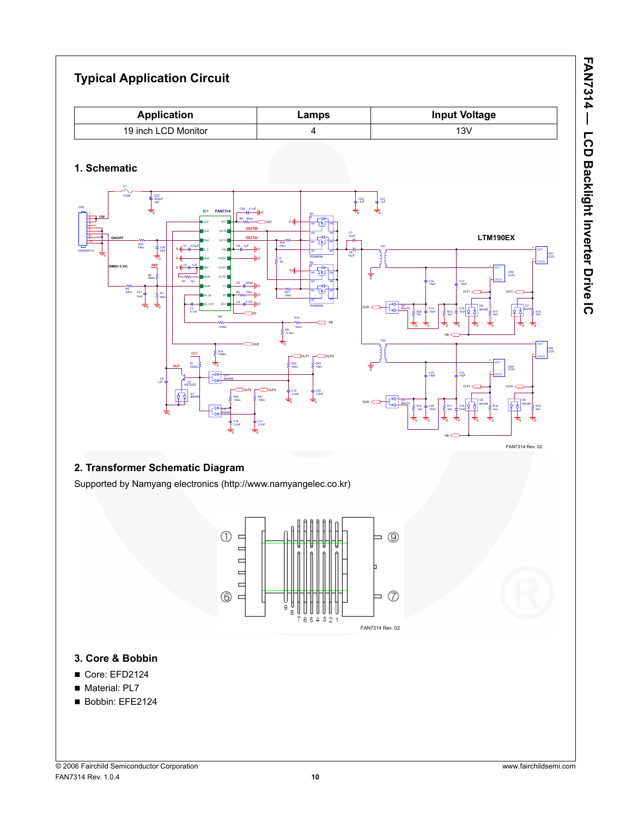#### **Typical Application Circuit 1. Schematic Application Lamps Input Voltage** 19 inch LCD Monitor 4 13V 0 OLP1 R17 1kΩ BAV70 R16 1kΩ 0 0 15pF 0 C30 10nF 0 0 C<sub>2</sub> 1μF TX1 0 C21 10nF R6 82kΩ C8 10μF C25 1μF 0 0 0 0 C28 10nF BAV99 D7 BAV99 D6 BAV99 0 0 R9 9.1kΩ 0  $\frac{1}{\sqrt{}}$ нот 원<sub>coup</sub> CN1 **CCFL**  $1$ HOT 월 coup CN2 CCFL  $1$ HOT 쉬coup CN4 CCFL  $1$ HOT 침 coup C22 220μF 25V OLR C26 0.1μF 0 J1 0Ω RT **OLP** D10 BAW56 **REF** 100kΩ **OUTB** D1 BAW56 RT FB R1 330kΩ **LTM190EX** SN GN SP GP DP DN DN M2 FDS8958A C6 1μF 0 OLP1 COLP2 OLP3 COLP4 R12 1kΩ R11 1kΩ R26 1kΩ REF R13 1kΩ 0 TO 1 TO 0 TO TO R15 10kΩ C9 1μF 0 FUSE 10μF 4 10 CN5 12505WR-10 R24 10kΩ R27 10kΩ R25 10kΩ **OUTA** 15pF C14 10nF C12 15pF C29 10nF **IC1 FAN7314** S\_S GND REF OLR ENA BDIM OLP VIN OUTA PGND OUTB RT1 OUTC ADIM EA\_IN EA\_OUT OUTD RT BCT R22 10kΩ R23 10kΩ C19 2.2nF C20 2.2nF 0 0 0 0 R21 10kΩ 10kΩ C18 2.2nF C17 2.2nF 0 R7 0Ω R8 100kΩ Q1 KST2222 0 C15 10nF C27 1μF 0 0 R18 1kΩ 0 SN GN SP GP DP DN DN M1 FDS8958A 0 TX2 FB 0 C13 15pF 0 OLP3 OLP4 D11 BAW56 0 R19 1kΩ 0 OLR **ON/OFF 13V DIM(0~3.3V)** C4 14.7nF C5 220pF R5 27kΩ 0 R2 56kΩ 18kΩ R4 22kΩ 0 C3 4.7nF D4 BAV70 C1 0.22μF D8 BAV99 0 OLP2 0 OLR FB

### **2. Transformer Schematic Diagram**

Supported by Namyang electronics (http://www.namyangelec.co.kr)



### **3. Core & Bobbin**

- Core: EFD2124
- Material: PL7
- Bobbin: EFE2124